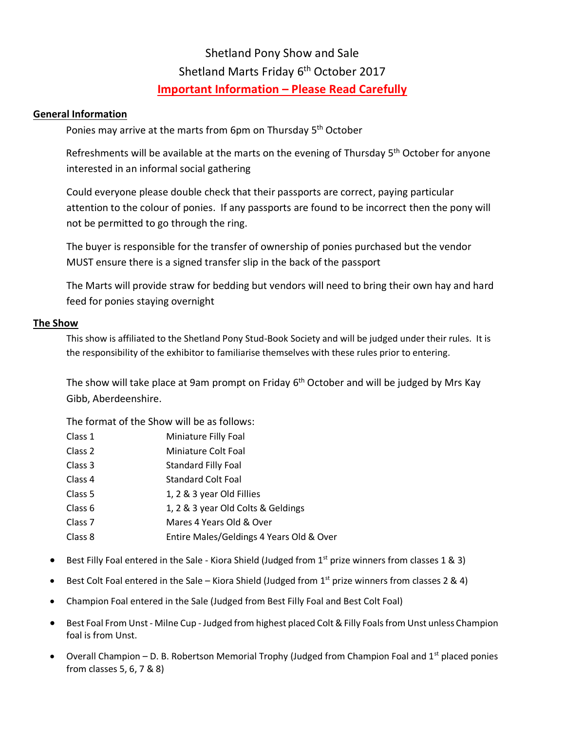# Shetland Pony Show and Sale Shetland Marts Friday 6<sup>th</sup> October 2017 **Important Information – Please Read Carefully**

### **General Information**

Ponies may arrive at the marts from 6pm on Thursday 5<sup>th</sup> October

Refreshments will be available at the marts on the evening of Thursday 5<sup>th</sup> October for anyone interested in an informal social gathering

Could everyone please double check that their passports are correct, paying particular attention to the colour of ponies. If any passports are found to be incorrect then the pony will not be permitted to go through the ring.

The buyer is responsible for the transfer of ownership of ponies purchased but the vendor MUST ensure there is a signed transfer slip in the back of the passport

The Marts will provide straw for bedding but vendors will need to bring their own hay and hard feed for ponies staying overnight

### **The Show**

This show is affiliated to the Shetland Pony Stud-Book Society and will be judged under their rules. It is the responsibility of the exhibitor to familiarise themselves with these rules prior to entering.

The show will take place at 9am prompt on Friday  $6<sup>th</sup>$  October and will be judged by Mrs Kay Gibb, Aberdeenshire.

The format of the Show will be as follows:

| Class 1            | Miniature Filly Foal                     |
|--------------------|------------------------------------------|
| Class 2            | Miniature Colt Foal                      |
| Class 3            | <b>Standard Filly Foal</b>               |
| Class 4            | <b>Standard Colt Foal</b>                |
| Class 5            | 1, 2 & 3 year Old Fillies                |
| Class 6            | 1, 2 & 3 year Old Colts & Geldings       |
| Class <sub>7</sub> | Mares 4 Years Old & Over                 |
| Class 8            | Entire Males/Geldings 4 Years Old & Over |

- Best Filly Foal entered in the Sale Kiora Shield (Judged from  $1<sup>st</sup>$  prize winners from classes 1 & 3)
- Best Colt Foal entered in the Sale Kiora Shield (Judged from  $1<sup>st</sup>$  prize winners from classes 2 & 4)
- Champion Foal entered in the Sale (Judged from Best Filly Foal and Best Colt Foal)
- Best Foal From Unst Milne Cup Judged from highest placed Colt & Filly Foals from Unst unless Champion foal is from Unst.
- Overall Champion D. B. Robertson Memorial Trophy (Judged from Champion Foal and  $1<sup>st</sup>$  placed ponies from classes 5, 6, 7 & 8)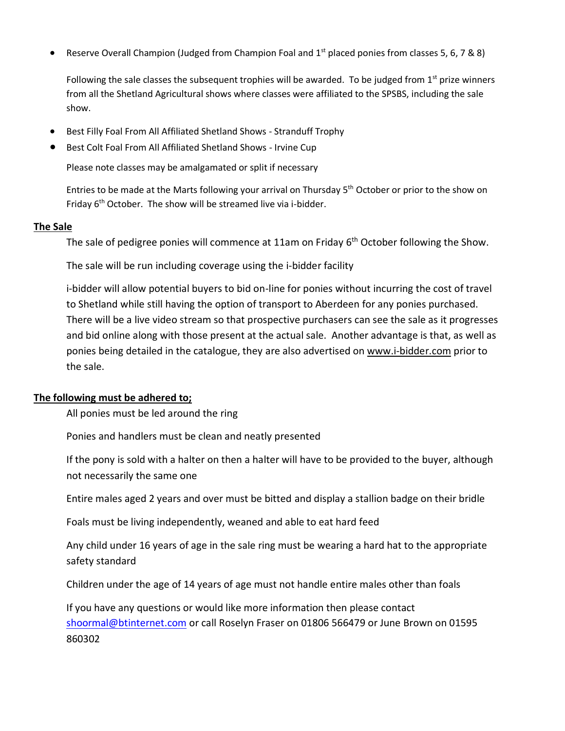Reserve Overall Champion (Judged from Champion Foal and  $1<sup>st</sup>$  placed ponies from classes 5, 6, 7 & 8)

Following the sale classes the subsequent trophies will be awarded. To be judged from  $1<sup>st</sup>$  prize winners from all the Shetland Agricultural shows where classes were affiliated to the SPSBS, including the sale show.

- Best Filly Foal From All Affiliated Shetland Shows Stranduff Trophy
- Best Colt Foal From All Affiliated Shetland Shows Irvine Cup

Please note classes may be amalgamated or split if necessary

Entries to be made at the Marts following your arrival on Thursday 5<sup>th</sup> October or prior to the show on Friday 6<sup>th</sup> October. The show will be streamed live via i-bidder.

#### **The Sale**

The sale of pedigree ponies will commence at 11am on Friday 6<sup>th</sup> October following the Show.

The sale will be run including coverage using the i-bidder facility

i-bidder will allow potential buyers to bid on-line for ponies without incurring the cost of travel to Shetland while still having the option of transport to Aberdeen for any ponies purchased. There will be a live video stream so that prospective purchasers can see the sale as it progresses and bid online along with those present at the actual sale. Another advantage is that, as well as ponies being detailed in the catalogue, they are also advertised on [www.i-bidder.com](http://www.i-bidder.com/) prior to the sale.

#### **The following must be adhered to;**

All ponies must be led around the ring

Ponies and handlers must be clean and neatly presented

If the pony is sold with a halter on then a halter will have to be provided to the buyer, although not necessarily the same one

Entire males aged 2 years and over must be bitted and display a stallion badge on their bridle

Foals must be living independently, weaned and able to eat hard feed

Any child under 16 years of age in the sale ring must be wearing a hard hat to the appropriate safety standard

Children under the age of 14 years of age must not handle entire males other than foals

If you have any questions or would like more information then please contact [shoormal@btinternet.com](mailto:shoormal@btinternet.com) or call Roselyn Fraser on 01806 566479 or June Brown on 01595 860302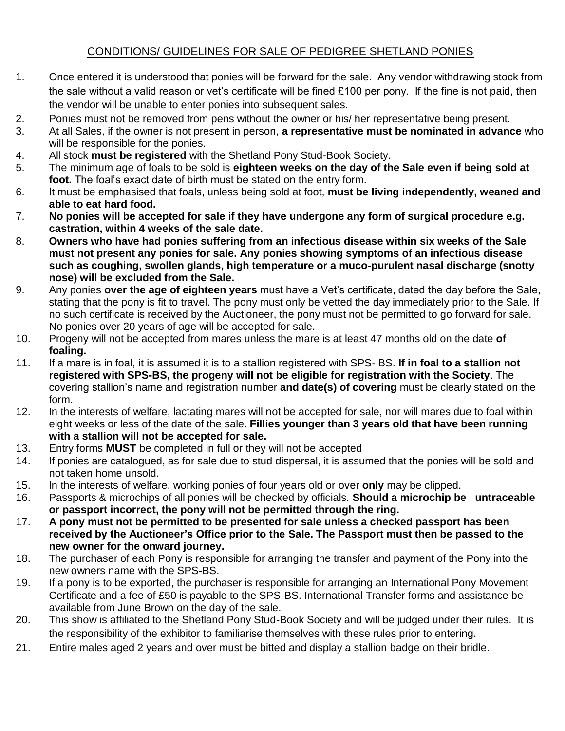## CONDITIONS/ GUIDELINES FOR SALE OF PEDIGREE SHETLAND PONIES

- 1. Once entered it is understood that ponies will be forward for the sale. Any vendor withdrawing stock from the sale without a valid reason or vet's certificate will be fined £100 per pony. If the fine is not paid, then the vendor will be unable to enter ponies into subsequent sales.
- 2. Ponies must not be removed from pens without the owner or his/ her representative being present.
- 3. At all Sales, if the owner is not present in person, **a representative must be nominated in advance** who will be responsible for the ponies.
- 4. All stock **must be registered** with the Shetland Pony Stud-Book Society.
- 5. The minimum age of foals to be sold is **eighteen weeks on the day of the Sale even if being sold at foot.** The foal's exact date of birth must be stated on the entry form.
- 6. It must be emphasised that foals, unless being sold at foot, **must be living independently, weaned and able to eat hard food.**
- 7. **No ponies will be accepted for sale if they have undergone any form of surgical procedure e.g. castration, within 4 weeks of the sale date.**
- 8. **Owners who have had ponies suffering from an infectious disease within six weeks of the Sale must not present any ponies for sale. Any ponies showing symptoms of an infectious disease such as coughing, swollen glands, high temperature or a muco-purulent nasal discharge (snotty nose) will be excluded from the Sale.**
- 9. Any ponies **over the age of eighteen years** must have a Vet's certificate, dated the day before the Sale, stating that the pony is fit to travel. The pony must only be vetted the day immediately prior to the Sale. If no such certificate is received by the Auctioneer, the pony must not be permitted to go forward for sale. No ponies over 20 years of age will be accepted for sale.
- 10. Progeny will not be accepted from mares unless the mare is at least 47 months old on the date **of foaling.**
- 11. If a mare is in foal, it is assumed it is to a stallion registered with SPS- BS. **If in foal to a stallion not registered with SPS-BS, the progeny will not be eligible for registration with the Society**. The covering stallion's name and registration number **and date(s) of covering** must be clearly stated on the form.
- 12. In the interests of welfare, lactating mares will not be accepted for sale, nor will mares due to foal within eight weeks or less of the date of the sale. **Fillies younger than 3 years old that have been running with a stallion will not be accepted for sale.**
- 13. Entry forms **MUST** be completed in full or they will not be accepted
- 14. If ponies are catalogued, as for sale due to stud dispersal, it is assumed that the ponies will be sold and not taken home unsold.
- 15. In the interests of welfare, working ponies of four years old or over **only** may be clipped.
- 16. Passports & microchips of all ponies will be checked by officials. **Should a microchip be untraceable or passport incorrect, the pony will not be permitted through the ring.**
- 17. **A pony must not be permitted to be presented for sale unless a checked passport has been received by the Auctioneer's Office prior to the Sale. The Passport must then be passed to the new owner for the onward journey.**
- 18. The purchaser of each Pony is responsible for arranging the transfer and payment of the Pony into the new owners name with the SPS-BS.
- 19. If a pony is to be exported, the purchaser is responsible for arranging an International Pony Movement Certificate and a fee of £50 is payable to the SPS-BS. International Transfer forms and assistance be available from June Brown on the day of the sale.
- 20. This show is affiliated to the Shetland Pony Stud-Book Society and will be judged under their rules. It is the responsibility of the exhibitor to familiarise themselves with these rules prior to entering.
- 21. Entire males aged 2 years and over must be bitted and display a stallion badge on their bridle.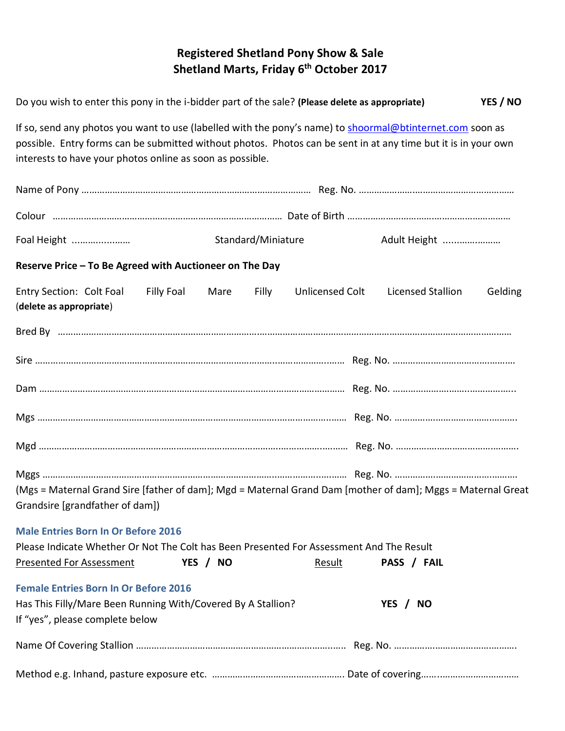# **Registered Shetland Pony Show & Sale Shetland Marts, Friday 6 th October 2017**

| Do you wish to enter this pony in the i-bidder part of the sale? (Please delete as appropriate)                                                                                                                                                                                          |  |          |                    |                 |                          | YES / NO |  |
|------------------------------------------------------------------------------------------------------------------------------------------------------------------------------------------------------------------------------------------------------------------------------------------|--|----------|--------------------|-----------------|--------------------------|----------|--|
| If so, send any photos you want to use (labelled with the pony's name) to shoormal@btinternet.com soon as<br>possible. Entry forms can be submitted without photos. Photos can be sent in at any time but it is in your own<br>interests to have your photos online as soon as possible. |  |          |                    |                 |                          |          |  |
|                                                                                                                                                                                                                                                                                          |  |          |                    |                 |                          |          |  |
|                                                                                                                                                                                                                                                                                          |  |          |                    |                 |                          |          |  |
| Foal Height                                                                                                                                                                                                                                                                              |  |          | Standard/Miniature |                 | Adult Height             |          |  |
| Reserve Price - To Be Agreed with Auctioneer on The Day                                                                                                                                                                                                                                  |  |          |                    |                 |                          |          |  |
| Entry Section: Colt Foal Filly Foal<br>(delete as appropriate)                                                                                                                                                                                                                           |  | Mare     | Filly              | Unlicensed Colt | <b>Licensed Stallion</b> | Gelding  |  |
|                                                                                                                                                                                                                                                                                          |  |          |                    |                 |                          |          |  |
|                                                                                                                                                                                                                                                                                          |  |          |                    |                 |                          |          |  |
|                                                                                                                                                                                                                                                                                          |  |          |                    |                 |                          |          |  |
|                                                                                                                                                                                                                                                                                          |  |          |                    |                 |                          |          |  |
|                                                                                                                                                                                                                                                                                          |  |          |                    |                 |                          |          |  |
| (Mgs = Maternal Grand Sire [father of dam]; Mgd = Maternal Grand Dam [mother of dam]; Mggs = Maternal Great<br>Grandsire [grandfather of dam])                                                                                                                                           |  |          |                    |                 |                          |          |  |
| <b>Male Entries Born In Or Before 2016</b><br>Please Indicate Whether Or Not The Colt has Been Presented For Assessment And The Result<br><b>Presented For Assessment</b>                                                                                                                |  | YES / NO |                    | Result          | PASS / FAIL              |          |  |
| <b>Female Entries Born In Or Before 2016</b><br>Has This Filly/Mare Been Running With/Covered By A Stallion?<br>If "yes", please complete below                                                                                                                                          |  |          |                    |                 | YES / NO                 |          |  |
|                                                                                                                                                                                                                                                                                          |  |          |                    |                 |                          |          |  |
|                                                                                                                                                                                                                                                                                          |  |          |                    |                 |                          |          |  |